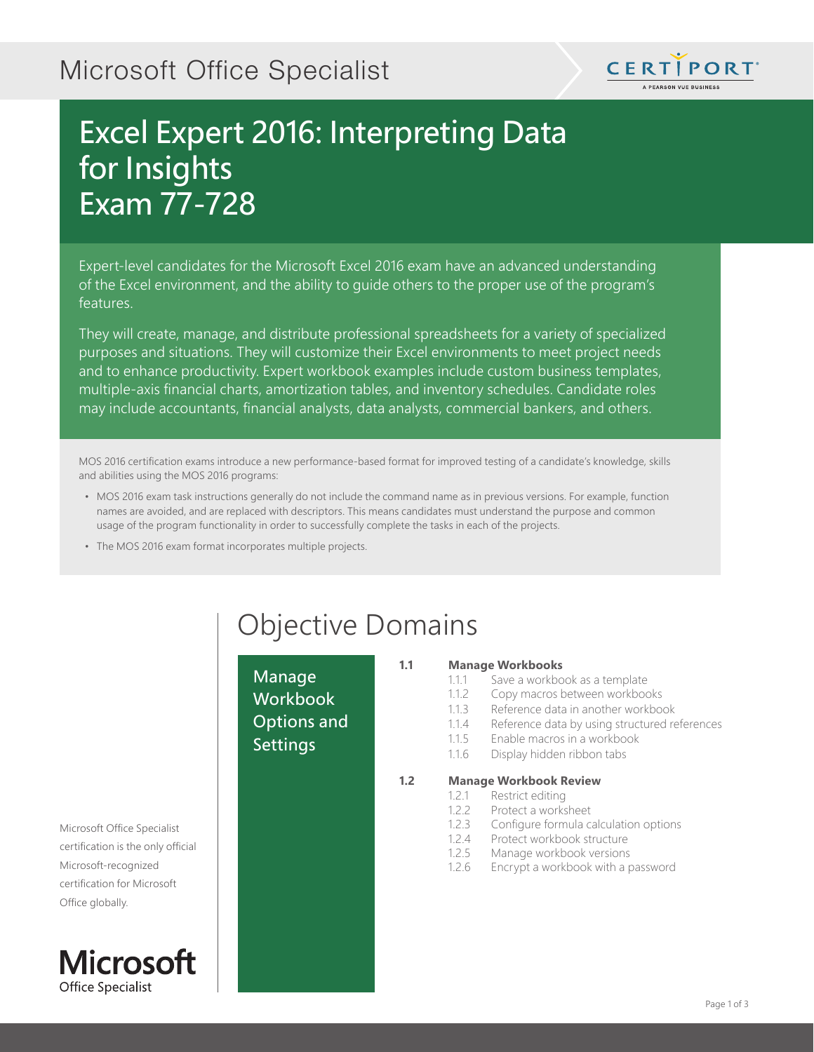## Microsoft Office Specialist



## Excel Expert 2016: Interpreting Data for Insights Exam 77-728

Expert-level candidates for the Microsoft Excel 2016 exam have an advanced understanding of the Excel environment, and the ability to guide others to the proper use of the program's features.

They will create, manage, and distribute professional spreadsheets for a variety of specialized purposes and situations. They will customize their Excel environments to meet project needs and to enhance productivity. Expert workbook examples include custom business templates, multiple-axis financial charts, amortization tables, and inventory schedules. Candidate roles may include accountants, financial analysts, data analysts, commercial bankers, and others.

MOS 2016 certification exams introduce a new performance-based format for improved testing of a candidate's knowledge, skills and abilities using the MOS 2016 programs:

- MOS 2016 exam task instructions generally do not include the command name as in previous versions. For example, function names are avoided, and are replaced with descriptors. This means candidates must understand the purpose and common usage of the program functionality in order to successfully complete the tasks in each of the projects.
- The MOS 2016 exam format incorporates multiple projects.

Manage **Workbook** Options and Settings

# Objective Domains

#### **1.1 Manage Workbooks**

- 1.1.1 Save a workbook as a template
- 1.1.2 Copy macros between workbooks
- 1.1.3 Reference data in another workbook
- 1.1.4 Reference data by using structured references
- 1.1.5 Enable macros in a workbook
- 1.1.6 Display hidden ribbon tabs

- **1.2 Manage Workbook Review**
	- 1.2.1 Restrict editing
	- 1.2.2 Protect a worksheet
	- 1.2.3 Configure formula calculation options
	- 1.2.4 Protect workbook structure
	- 1.2.5 Manage workbook versions
	- 1.2.6 Encrypt a workbook with a password

Microsoft Office Specialist certification is the only official Microsoft-recognized certification for Microsoft Office globally.

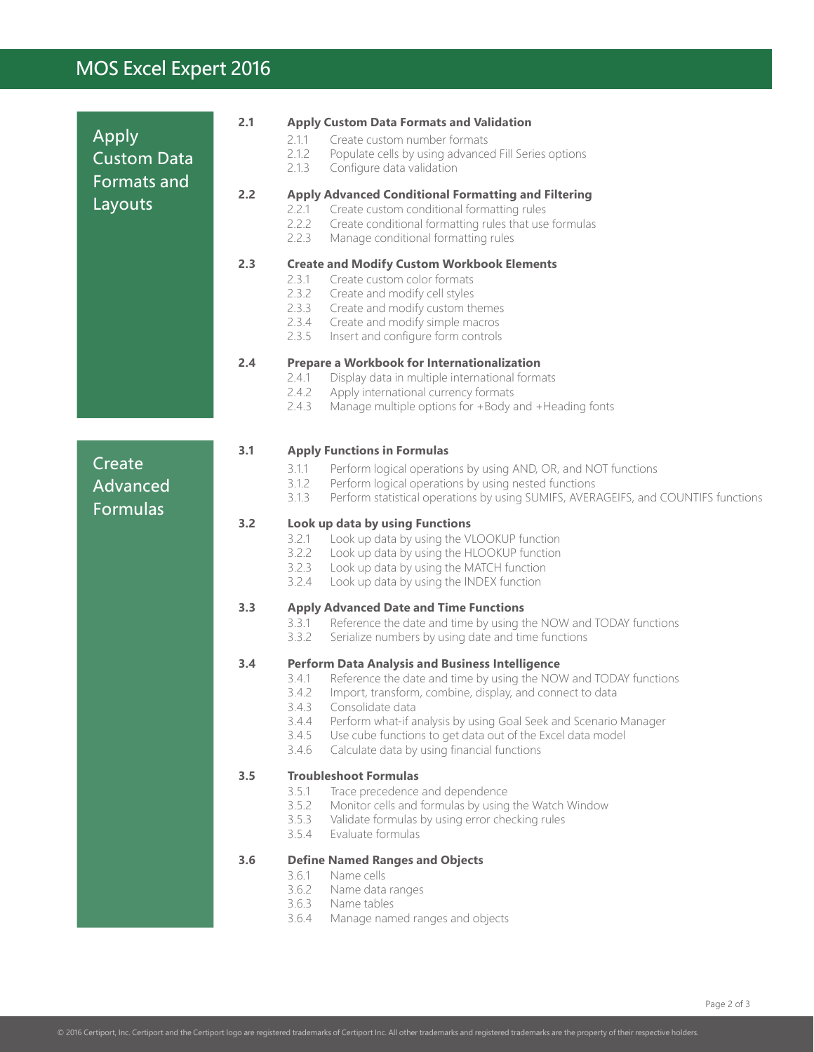### MOS Excel Expert 2016

|                                                   | 2.1 | <b>Apply Custom Data Formats and Validation</b>                                                                                                                                                                                                                                                                                                                                                                                                   |
|---------------------------------------------------|-----|---------------------------------------------------------------------------------------------------------------------------------------------------------------------------------------------------------------------------------------------------------------------------------------------------------------------------------------------------------------------------------------------------------------------------------------------------|
| Apply<br><b>Custom Data</b><br><b>Formats and</b> |     | Create custom number formats<br>2.1.1<br>2.1.2<br>Populate cells by using advanced Fill Series options<br>2.1.3<br>Configure data validation                                                                                                                                                                                                                                                                                                      |
| Layouts                                           | 2.2 | <b>Apply Advanced Conditional Formatting and Filtering</b><br>Create custom conditional formatting rules<br>2.2.1<br>2.2.2<br>Create conditional formatting rules that use formulas<br>2.2.3<br>Manage conditional formatting rules                                                                                                                                                                                                               |
|                                                   | 2.3 | <b>Create and Modify Custom Workbook Elements</b><br>2.3.1<br>Create custom color formats<br>2.3.2<br>Create and modify cell styles<br>2.3.3<br>Create and modify custom themes<br>2.3.4<br>Create and modify simple macros<br>2.3.5<br>Insert and configure form controls                                                                                                                                                                        |
|                                                   | 2.4 | Prepare a Workbook for Internationalization<br>Display data in multiple international formats<br>2.4.1<br>2.4.2<br>Apply international currency formats<br>2.4.3<br>Manage multiple options for +Body and +Heading fonts                                                                                                                                                                                                                          |
|                                                   | 3.1 |                                                                                                                                                                                                                                                                                                                                                                                                                                                   |
| Create<br>Advanced<br><b>Formulas</b>             |     | <b>Apply Functions in Formulas</b><br>3.1.1<br>Perform logical operations by using AND, OR, and NOT functions<br>3.1.2<br>Perform logical operations by using nested functions<br>3.1.3<br>Perform statistical operations by using SUMIFS, AVERAGEIFS, and COUNTIFS functions                                                                                                                                                                     |
|                                                   | 3.2 | Look up data by using Functions<br>Look up data by using the VLOOKUP function<br>3.2.1<br>3.2.2<br>Look up data by using the HLOOKUP function<br>3.2.3<br>Look up data by using the MATCH function<br>Look up data by using the INDEX function<br>3.2.4                                                                                                                                                                                           |
|                                                   | 3.3 | <b>Apply Advanced Date and Time Functions</b><br>Reference the date and time by using the NOW and TODAY functions<br>3.3.1<br>3.3.2<br>Serialize numbers by using date and time functions                                                                                                                                                                                                                                                         |
|                                                   | 3.4 | <b>Perform Data Analysis and Business Intelligence</b><br>Reference the date and time by using the NOW and TODAY functions<br>3.4.1<br>3.4.2<br>Import, transform, combine, display, and connect to data<br>3.4.3<br>Consolidate data<br>3.4.4<br>Perform what-if analysis by using Goal Seek and Scenario Manager<br>3.4.5<br>Use cube functions to get data out of the Excel data model<br>3.4.6<br>Calculate data by using financial functions |
|                                                   | 3.5 | <b>Troubleshoot Formulas</b><br>3.5.1<br>Trace precedence and dependence<br>3.5.2<br>Monitor cells and formulas by using the Watch Window<br>3.5.3<br>Validate formulas by using error checking rules<br>Evaluate formulas<br>3.5.4                                                                                                                                                                                                               |
|                                                   | 3.6 | <b>Define Named Ranges and Objects</b>                                                                                                                                                                                                                                                                                                                                                                                                            |
|                                                   |     | 3.6.1<br>Name cells<br>3.6.2<br>Name data ranges<br>3.6.3<br>Name tables<br>3.6.4<br>Manage named ranges and objects                                                                                                                                                                                                                                                                                                                              |